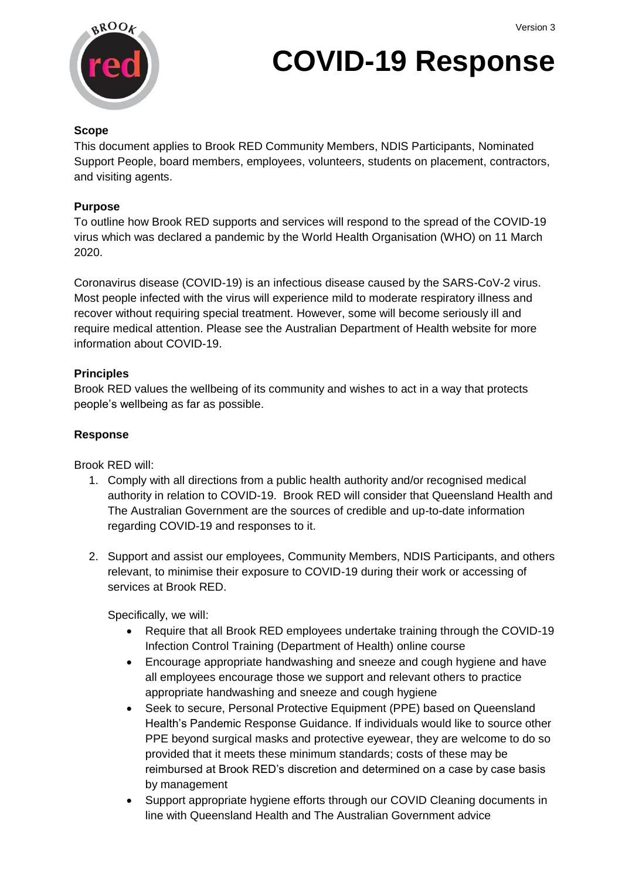

# **COVID-19 Response**

#### **Scope**

This document applies to Brook RED Community Members, NDIS Participants, Nominated Support People, board members, employees, volunteers, students on placement, contractors, and visiting agents.

#### **Purpose**

To outline how Brook RED supports and services will respond to the spread of the COVID-19 virus which was declared a pandemic by the World Health Organisation (WHO) on 11 March 2020.

Coronavirus disease (COVID-19) is an infectious disease caused by the SARS-CoV-2 virus. Most people infected with the virus will experience mild to moderate respiratory illness and recover without requiring special treatment. However, some will become seriously ill and require medical attention. Please see the Australian Department of Health website for more information about COVID-19.

#### **Principles**

Brook RED values the wellbeing of its community and wishes to act in a way that protects people's wellbeing as far as possible.

#### **Response**

Brook RED will:

- 1. Comply with all directions from a public health authority and/or recognised medical authority in relation to COVID-19. Brook RED will consider that Queensland Health and The Australian Government are the sources of credible and up-to-date information regarding COVID-19 and responses to it.
- 2. Support and assist our employees, Community Members, NDIS Participants, and others relevant, to minimise their exposure to COVID-19 during their work or accessing of services at Brook RED.

Specifically, we will:

- Require that all Brook RED employees undertake training through the COVID-19 Infection Control Training (Department of Health) online course
- Encourage appropriate handwashing and sneeze and cough hygiene and have all employees encourage those we support and relevant others to practice appropriate handwashing and sneeze and cough hygiene
- Seek to secure, Personal Protective Equipment (PPE) based on Queensland Health's Pandemic Response Guidance. If individuals would like to source other PPE beyond surgical masks and protective eyewear, they are welcome to do so provided that it meets these minimum standards; costs of these may be reimbursed at Brook RED's discretion and determined on a case by case basis by management
- Support appropriate hygiene efforts through our COVID Cleaning documents in line with Queensland Health and The Australian Government advice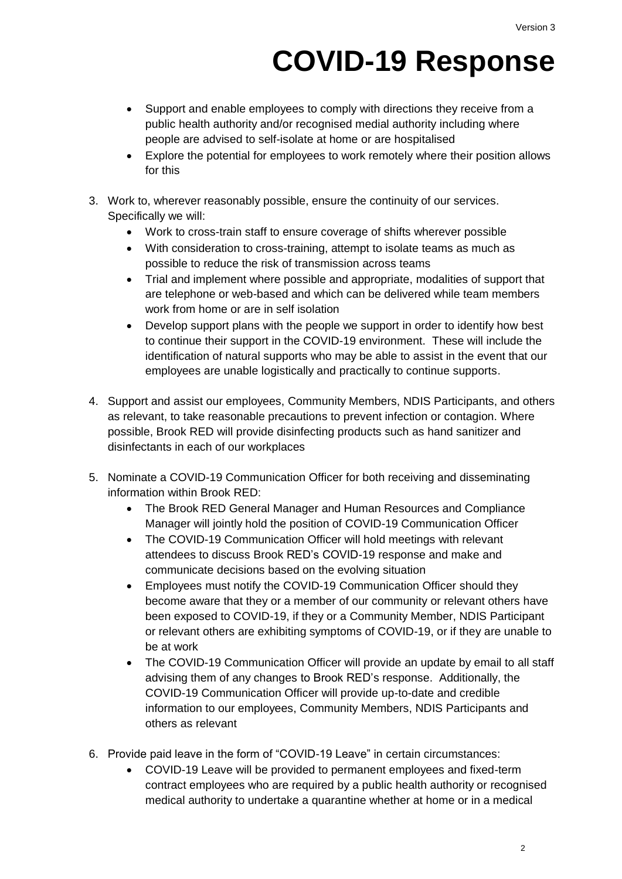## **COVID-19 Response**

- Support and enable employees to comply with directions they receive from a public health authority and/or recognised medial authority including where people are advised to self-isolate at home or are hospitalised
- Explore the potential for employees to work remotely where their position allows for this
- 3. Work to, wherever reasonably possible, ensure the continuity of our services. Specifically we will:
	- Work to cross-train staff to ensure coverage of shifts wherever possible
	- With consideration to cross-training, attempt to isolate teams as much as possible to reduce the risk of transmission across teams
	- Trial and implement where possible and appropriate, modalities of support that are telephone or web-based and which can be delivered while team members work from home or are in self isolation
	- Develop support plans with the people we support in order to identify how best to continue their support in the COVID-19 environment. These will include the identification of natural supports who may be able to assist in the event that our employees are unable logistically and practically to continue supports.
- 4. Support and assist our employees, Community Members, NDIS Participants, and others as relevant, to take reasonable precautions to prevent infection or contagion. Where possible, Brook RED will provide disinfecting products such as hand sanitizer and disinfectants in each of our workplaces
- 5. Nominate a COVID-19 Communication Officer for both receiving and disseminating information within Brook RED:
	- The Brook RED General Manager and Human Resources and Compliance Manager will jointly hold the position of COVID-19 Communication Officer
	- The COVID-19 Communication Officer will hold meetings with relevant attendees to discuss Brook RED's COVID-19 response and make and communicate decisions based on the evolving situation
	- Employees must notify the COVID-19 Communication Officer should they become aware that they or a member of our community or relevant others have been exposed to COVID-19, if they or a Community Member, NDIS Participant or relevant others are exhibiting symptoms of COVID-19, or if they are unable to be at work
	- The COVID-19 Communication Officer will provide an update by email to all staff advising them of any changes to Brook RED's response. Additionally, the COVID-19 Communication Officer will provide up-to-date and credible information to our employees, Community Members, NDIS Participants and others as relevant
- 6. Provide paid leave in the form of "COVID-19 Leave" in certain circumstances:
	- COVID-19 Leave will be provided to permanent employees and fixed-term contract employees who are required by a public health authority or recognised medical authority to undertake a quarantine whether at home or in a medical